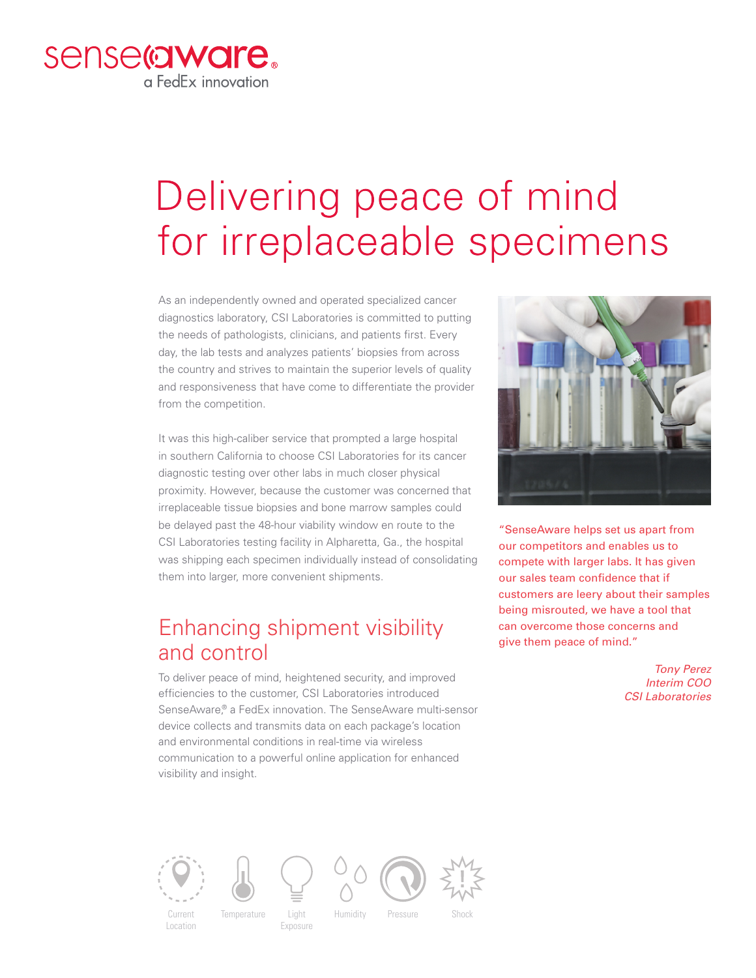

## Delivering peace of mind for irreplaceable specimens

As an independently owned and operated specialized cancer diagnostics laboratory, CSI Laboratories is committed to putting the needs of pathologists, clinicians, and patients first. Every day, the lab tests and analyzes patients' biopsies from across the country and strives to maintain the superior levels of quality and responsiveness that have come to differentiate the provider from the competition.

It was this high-caliber service that prompted a large hospital in southern California to choose CSI Laboratories for its cancer diagnostic testing over other labs in much closer physical proximity. However, because the customer was concerned that irreplaceable tissue biopsies and bone marrow samples could be delayed past the 48-hour viability window en route to the CSI Laboratories testing facility in Alpharetta, Ga., the hospital was shipping each specimen individually instead of consolidating them into larger, more convenient shipments.

## Enhancing shipment visibility and control

To deliver peace of mind, heightened security, and improved efficiencies to the customer, CSI Laboratories introduced SenseAware,® a FedEx innovation. The SenseAware multi-sensor device collects and transmits data on each package's location and environmental conditions in real-time via wireless communication to a powerful online application for enhanced visibility and insight.



"SenseAware helps set us apart from our competitors and enables us to compete with larger labs. It has given our sales team confidence that if customers are leery about their samples being misrouted, we have a tool that can overcome those concerns and give them peace of mind."

> *Tony Perez Interim COO CSI Laboratories*





Light **Exposure**